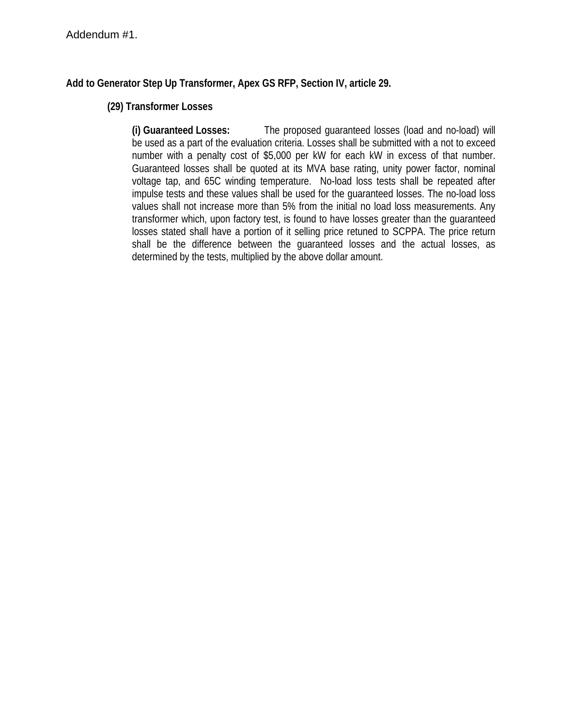# **Add to Generator Step Up Transformer, Apex GS RFP, Section IV, article 29.**

## **(29) Transformer Losses**

 **(i) Guaranteed Losses:** The proposed guaranteed losses (load and no-load) will be used as a part of the evaluation criteria. Losses shall be submitted with a not to exceed number with a penalty cost of \$5,000 per kW for each kW in excess of that number. Guaranteed losses shall be quoted at its MVA base rating, unity power factor, nominal voltage tap, and 65C winding temperature. No-load loss tests shall be repeated after impulse tests and these values shall be used for the guaranteed losses. The no-load loss values shall not increase more than 5% from the initial no load loss measurements. Any transformer which, upon factory test, is found to have losses greater than the guaranteed losses stated shall have a portion of it selling price retuned to SCPPA. The price return shall be the difference between the guaranteed losses and the actual losses, as determined by the tests, multiplied by the above dollar amount.